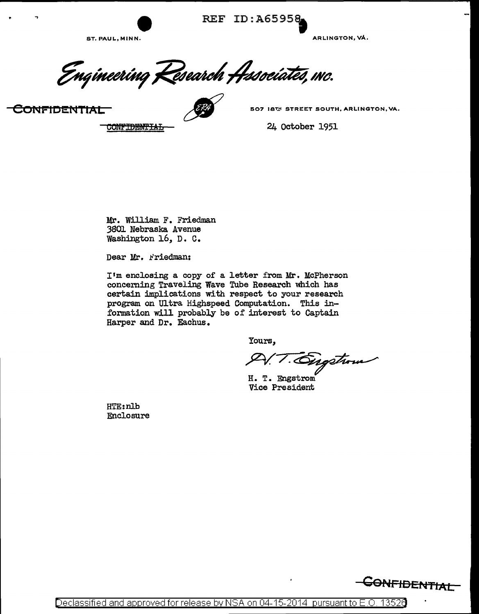REF ID: A65958

ST. PAUL, MINN. ARLINGTON, VA.

Enqineering Kesearch Hesociates, mc.  $\,$ CONFIDENTIAL **EXECUTED SOLUTION** 

**CONFIDENTIAL** 

24 October 1951

Mr. William F. Friedman 3801 Nebraska Avenue Washington 16, D. C.

Dear Mr. Friedman:

I'm enclosing a copy of a letter from Mr. McPherson concerning Traveling Wave Tube Research which has certain implications with respect to your research program on Ultra Highspeed Computation. This information will probably be of interest to Captain Harper and Dr. Eachus.

Yours,

Digstrom

H. T. Engstrom Vice President

HTE:nlb Enclosure



Declassified and approved for release by NSA on 04-15-2014 pursuant to E.O. 13526